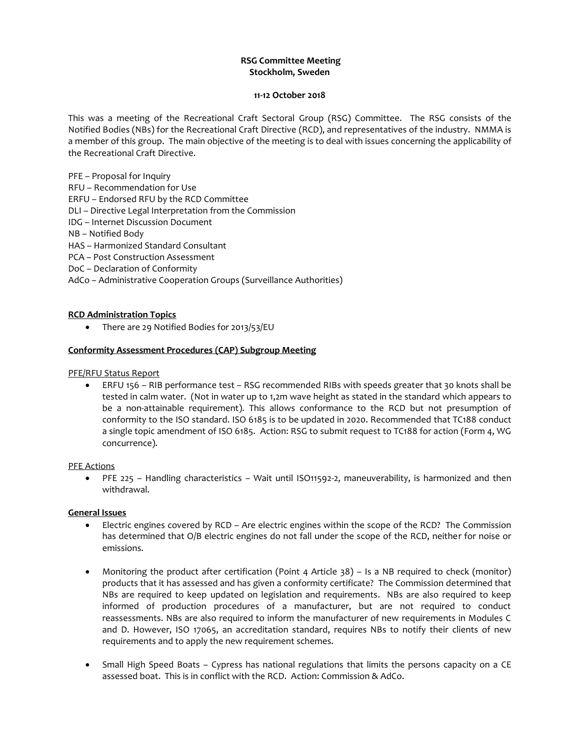## **RSG Committee Meeting Stockholm, Sweden**

#### **11-12 October 2018**

This was a meeting of the Recreational Craft Sectoral Group (RSG) Committee. The RSG consists of the Notified Bodies (NBs) for the Recreational Craft Directive (RCD), and representatives of the industry. NMMA is a member of this group. The main objective of the meeting is to deal with issues concerning the applicability of the Recreational Craft Directive.

PFE – Proposal for Inquiry RFU – Recommendation for Use ERFU – Endorsed RFU by the RCD Committee DLI – Directive Legal Interpretation from the Commission IDG – Internet Discussion Document NB – Notified Body HAS – Harmonized Standard Consultant PCA – Post Construction Assessment DoC – Declaration of Conformity AdCo – Administrative Cooperation Groups (Surveillance Authorities)

# **RCD Administration Topics**

• There are 29 Notified Bodies for 2013/53/EU

### **Conformity Assessment Procedures (CAP) Subgroup Meeting**

PFE/RFU Status Report

 ERFU 156 – RIB performance test – RSG recommended RIBs with speeds greater that 30 knots shall be tested in calm water. (Not in water up to 1,2m wave height as stated in the standard which appears to be a non-attainable requirement). This allows conformance to the RCD but not presumption of conformity to the ISO standard. ISO 6185 is to be updated in 2020. Recommended that TC188 conduct a single topic amendment of ISO 6185. Action: RSG to submit request to TC188 for action (Form 4, WG concurrence).

PFE Actions

 PFE 225 – Handling characteristics – Wait until ISO11592-2, maneuverability, is harmonized and then withdrawal.

### **General Issues**

- Electric engines covered by RCD Are electric engines within the scope of the RCD? The Commission has determined that O/B electric engines do not fall under the scope of the RCD, neither for noise or emissions.
- Monitoring the product after certification (Point 4 Article 38) Is a NB required to check (monitor) products that it has assessed and has given a conformity certificate? The Commission determined that NBs are required to keep updated on legislation and requirements. NBs are also required to keep informed of production procedures of a manufacturer, but are not required to conduct reassessments. NBs are also required to inform the manufacturer of new requirements in Modules C and D. However, ISO 17065, an accreditation standard, requires NBs to notify their clients of new requirements and to apply the new requirement schemes.
- Small High Speed Boats Cypress has national regulations that limits the persons capacity on a CE assessed boat. This is in conflict with the RCD. Action: Commission & AdCo.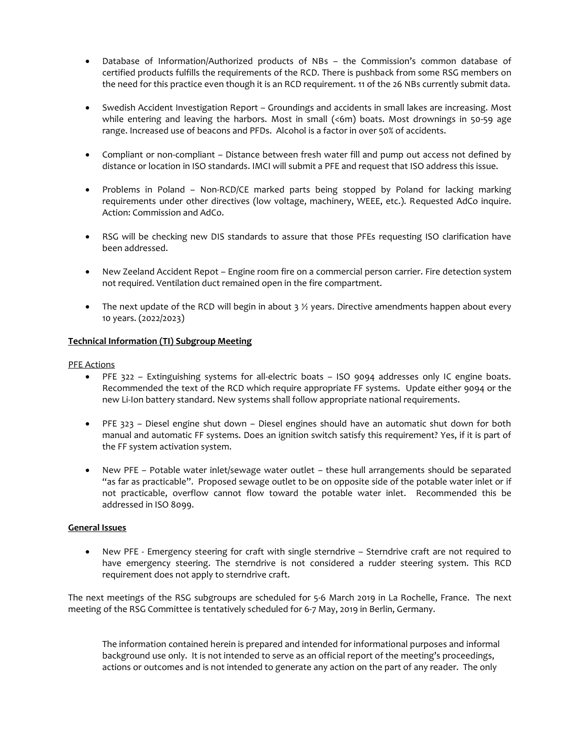- Database of Information/Authorized products of NBs the Commission's common database of certified products fulfills the requirements of the RCD. There is pushback from some RSG members on the need for this practice even though it is an RCD requirement. 11 of the 26 NBs currently submit data.
- Swedish Accident Investigation Report Groundings and accidents in small lakes are increasing. Most while entering and leaving the harbors. Most in small (<6m) boats. Most drownings in 50-59 age range. Increased use of beacons and PFDs. Alcohol is a factor in over 50% of accidents.
- Compliant or non-compliant Distance between fresh water fill and pump out access not defined by distance or location in ISO standards. IMCI will submit a PFE and request that ISO address this issue.
- Problems in Poland Non-RCD/CE marked parts being stopped by Poland for lacking marking requirements under other directives (low voltage, machinery, WEEE, etc.). Requested AdCo inquire. Action: Commission and AdCo.
- RSG will be checking new DIS standards to assure that those PFEs requesting ISO clarification have been addressed.
- New Zeeland Accident Repot Engine room fire on a commercial person carrier. Fire detection system not required. Ventilation duct remained open in the fire compartment.
- The next update of the RCD will begin in about  $3\frac{1}{2}$  years. Directive amendments happen about every 10 years. (2022/2023)

## **Technical Information (TI) Subgroup Meeting**

### PFE Actions

- PFE 322 Extinguishing systems for all-electric boats ISO 9094 addresses only IC engine boats. Recommended the text of the RCD which require appropriate FF systems. Update either 9094 or the new Li-Ion battery standard. New systems shall follow appropriate national requirements.
- PFE 323 Diesel engine shut down Diesel engines should have an automatic shut down for both manual and automatic FF systems. Does an ignition switch satisfy this requirement? Yes, if it is part of the FF system activation system.
- New PFE Potable water inlet/sewage water outlet these hull arrangements should be separated "as far as practicable". Proposed sewage outlet to be on opposite side of the potable water inlet or if not practicable, overflow cannot flow toward the potable water inlet. Recommended this be addressed in ISO 8099.

# **General Issues**

 New PFE - Emergency steering for craft with single sterndrive – Sterndrive craft are not required to have emergency steering. The sterndrive is not considered a rudder steering system. This RCD requirement does not apply to sterndrive craft.

The next meetings of the RSG subgroups are scheduled for 5-6 March 2019 in La Rochelle, France. The next meeting of the RSG Committee is tentatively scheduled for 6-7 May, 2019 in Berlin, Germany.

The information contained herein is prepared and intended for informational purposes and informal background use only. It is not intended to serve as an official report of the meeting's proceedings, actions or outcomes and is not intended to generate any action on the part of any reader. The only